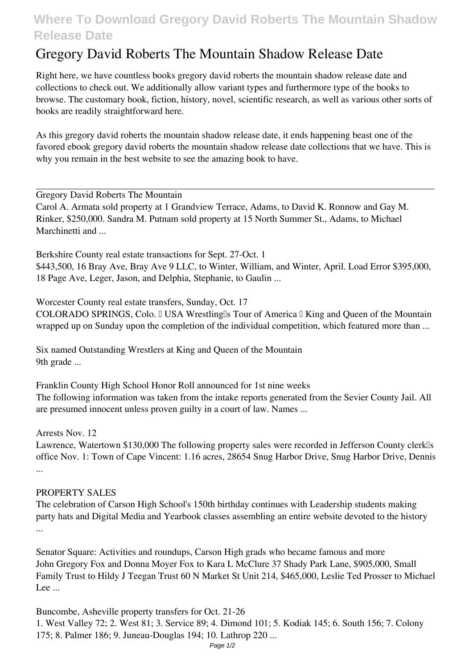## **Where To Download Gregory David Roberts The Mountain Shadow Release Date**

## **Gregory David Roberts The Mountain Shadow Release Date**

Right here, we have countless books **gregory david roberts the mountain shadow release date** and collections to check out. We additionally allow variant types and furthermore type of the books to browse. The customary book, fiction, history, novel, scientific research, as well as various other sorts of books are readily straightforward here.

As this gregory david roberts the mountain shadow release date, it ends happening beast one of the favored ebook gregory david roberts the mountain shadow release date collections that we have. This is why you remain in the best website to see the amazing book to have.

**Gregory David Roberts The Mountain**

Carol A. Armata sold property at 1 Grandview Terrace, Adams, to David K. Ronnow and Gay M. Rinker, \$250,000. Sandra M. Putnam sold property at 15 North Summer St., Adams, to Michael Marchinetti and ...

**Berkshire County real estate transactions for Sept. 27-Oct. 1** \$443,500, 16 Bray Ave, Bray Ave 9 LLC, to Winter, William, and Winter, April. Load Error \$395,000, 18 Page Ave, Leger, Jason, and Delphia, Stephanie, to Gaulin ...

**Worcester County real estate transfers, Sunday, Oct. 17** COLORADO SPRINGS, Colo. I USA Wrestling Is Tour of America I King and Queen of the Mountain wrapped up on Sunday upon the completion of the individual competition, which featured more than ...

**Six named Outstanding Wrestlers at King and Queen of the Mountain** 9th grade ...

**Franklin County High School Honor Roll announced for 1st nine weeks** The following information was taken from the intake reports generated from the Sevier County Jail. All are presumed innocent unless proven guilty in a court of law. Names ...

**Arrests Nov. 12**

Lawrence, Watertown \$130,000 The following property sales were recorded in Jefferson County clerk<sup>[]</sup>s office Nov. 1: Town of Cape Vincent: 1.16 acres, 28654 Snug Harbor Drive, Snug Harbor Drive, Dennis ...

## **PROPERTY SALES**

The celebration of Carson High School's 150th birthday continues with Leadership students making party hats and Digital Media and Yearbook classes assembling an entire website devoted to the history ...

**Senator Square: Activities and roundups, Carson High grads who became famous and more** John Gregory Fox and Donna Moyer Fox to Kara L McClure 37 Shady Park Lane, \$905,000, Small Family Trust to Hildy J Teegan Trust 60 N Market St Unit 214, \$465,000, Leslie Ted Prosser to Michael Lee  $\ldots$ 

**Buncombe, Asheville property transfers for Oct. 21-26** 1. West Valley 72; 2. West 81; 3. Service 89; 4. Dimond 101; 5. Kodiak 145; 6. South 156; 7. Colony 175; 8. Palmer 186; 9. Juneau-Douglas 194; 10. Lathrop 220 ...